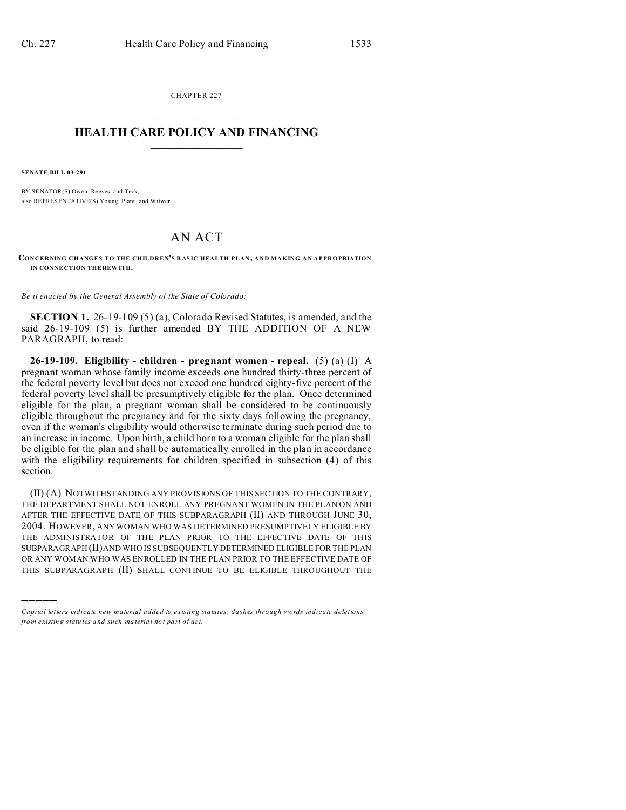CHAPTER 227  $\overline{\phantom{a}}$  , where  $\overline{\phantom{a}}$ 

## **HEALTH CARE POLICY AND FINANCING**  $\_$   $\_$   $\_$   $\_$   $\_$   $\_$   $\_$   $\_$

**SENATE BILL 03-291**

)))))

BY SENATOR(S) Owen, Reeves, and Teck; also REPRESENTATIVE(S) Yo ung, Plant, and Witwer.

## AN ACT

**CONCERNING CHANGES TO THE CHILDREN'S B AS IC HEALTH PLAN , AND MAKING AN APPROPRIATION IN CONNE CTION THE REW ITH.**

*Be it enacted by the General Assembly of the State of Colorado:*

**SECTION 1.** 26-19-109 (5) (a), Colorado Revised Statutes, is amended, and the said 26-19-109 (5) is further amended BY THE ADDITION OF A NEW PARAGRAPH, to read:

**26-19-109. Eligibility - children - pregnant women - repeal.** (5) (a) (I) A pregnant woman whose family income exceeds one hundred thirty-three percent of the federal poverty level but does not exceed one hundred eighty-five percent of the federal poverty level shall be presumptively eligible for the plan. Once determined eligible for the plan, a pregnant woman shall be considered to be continuously eligible throughout the pregnancy and for the sixty days following the pregnancy, even if the woman's eligibility would otherwise terminate during such period due to an increase in income. Upon birth, a child born to a woman eligible for the plan shall be eligible for the plan and shall be automatically enrolled in the plan in accordance with the eligibility requirements for children specified in subsection (4) of this section.

(II) (A) NOTWITHSTANDING ANY PROVISIONS OF THIS SECTION TO THE CONTRARY, THE DEPARTMENT SHALL NOT ENROLL ANY PREGNANT WOMEN IN THE PLAN ON AND AFTER THE EFFECTIVE DATE OF THIS SUBPARAGRAPH (II) AND THROUGH JUNE 30, 2004. HOWEVER, ANY WOMAN WHO WAS DETERMINED PRESUMPTIVELY ELIGIBLE BY THE ADMINISTRATOR OF THE PLAN PRIOR TO THE EFFECTIVE DATE OF THIS SUBPARAGRAPH (II)AND WHO IS SUBSEQUENTLY DETERMINED ELIGIBLE FOR THE PLAN OR ANY WOMAN WHO WAS ENROLLED IN THE PLAN PRIOR TO THE EFFECTIVE DATE OF THIS SUBPARAGRAPH (II) SHALL CONTINUE TO BE ELIGIBLE THROUGHOUT THE

*Capital letters indicate new material added to existing statutes; dashes through words indicate deletions from e xistin g statu tes a nd such ma teria l no t pa rt of ac t.*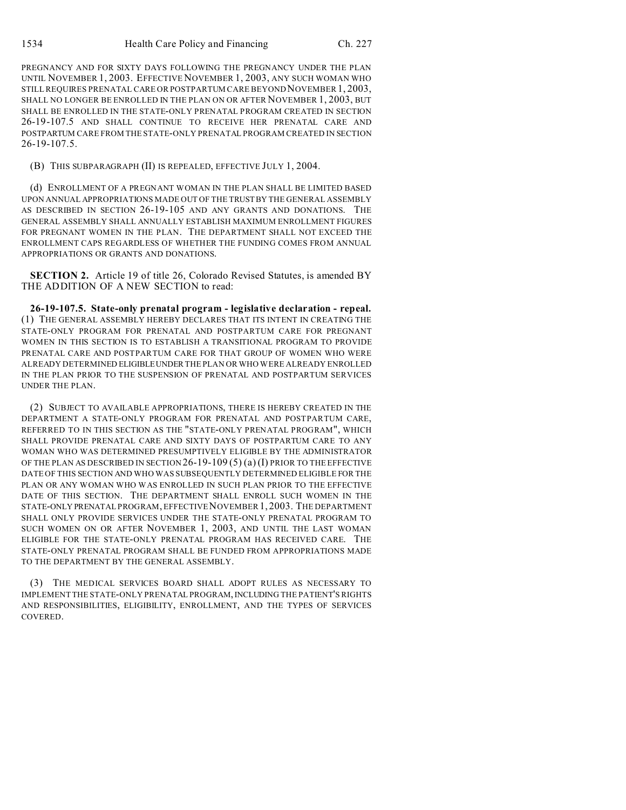PREGNANCY AND FOR SIXTY DAYS FOLLOWING THE PREGNANCY UNDER THE PLAN UNTIL NOVEMBER 1, 2003. EFFECTIVE NOVEMBER 1, 2003, ANY SUCH WOMAN WHO STILL REQUIRES PRENATAL CARE OR POSTPARTUM CARE BEYOND NOVEMBER 1, 2003, SHALL NO LONGER BE ENROLLED IN THE PLAN ON OR AFTER NOVEMBER 1, 2003, BUT SHALL BE ENROLLED IN THE STATE-ONLY PRENATAL PROGRAM CREATED IN SECTION 26-19-107.5 AND SHALL CONTINUE TO RECEIVE HER PRENATAL CARE AND POSTPARTUM CARE FROM THE STATE-ONLY PRENATAL PROGRAM CREATED IN SECTION 26-19-107.5.

## (B) THIS SUBPARAGRAPH (II) IS REPEALED, EFFECTIVE JULY 1, 2004.

(d) ENROLLMENT OF A PREGNANT WOMAN IN THE PLAN SHALL BE LIMITED BASED UPON ANNUAL APPROPRIATIONS MADE OUT OF THE TRUSTBY THE GENERAL ASSEMBLY AS DESCRIBED IN SECTION 26-19-105 AND ANY GRANTS AND DONATIONS. THE GENERAL ASSEMBLY SHALL ANNUALLY ESTABLISH MAXIMUM ENROLLMENT FIGURES FOR PREGNANT WOMEN IN THE PLAN. THE DEPARTMENT SHALL NOT EXCEED THE ENROLLMENT CAPS REGARDLESS OF WHETHER THE FUNDING COMES FROM ANNUAL APPROPRIATIONS OR GRANTS AND DONATIONS.

**SECTION 2.** Article 19 of title 26, Colorado Revised Statutes, is amended BY THE ADDITION OF A NEW SECTION to read:

**26-19-107.5. State-only prenatal program - legislative declaration - repeal.** (1) THE GENERAL ASSEMBLY HEREBY DECLARES THAT ITS INTENT IN CREATING THE STATE-ONLY PROGRAM FOR PRENATAL AND POSTPARTUM CARE FOR PREGNANT WOMEN IN THIS SECTION IS TO ESTABLISH A TRANSITIONAL PROGRAM TO PROVIDE PRENATAL CARE AND POSTPARTUM CARE FOR THAT GROUP OF WOMEN WHO WERE ALREADY DETERMINED ELIGIBLEUNDER THE PLAN OR WHO WERE ALREADY ENROLLED IN THE PLAN PRIOR TO THE SUSPENSION OF PRENATAL AND POSTPARTUM SERVICES UNDER THE PLAN.

(2) SUBJECT TO AVAILABLE APPROPRIATIONS, THERE IS HEREBY CREATED IN THE DEPARTMENT A STATE-ONLY PROGRAM FOR PRENATAL AND POSTPARTUM CARE, REFERRED TO IN THIS SECTION AS THE "STATE-ONLY PRENATAL PROGRAM", WHICH SHALL PROVIDE PRENATAL CARE AND SIXTY DAYS OF POSTPARTUM CARE TO ANY WOMAN WHO WAS DETERMINED PRESUMPTIVELY ELIGIBLE BY THE ADMINISTRATOR OF THE PLAN AS DESCRIBED IN SECTION  $26-19-109(5)(a)(I)$  PRIOR TO THE EFFECTIVE DATE OF THIS SECTION AND WHO WAS SUBSEQUENTLY DETERMINED ELIGIBLE FOR THE PLAN OR ANY WOMAN WHO WAS ENROLLED IN SUCH PLAN PRIOR TO THE EFFECTIVE DATE OF THIS SECTION. THE DEPARTMENT SHALL ENROLL SUCH WOMEN IN THE STATE-ONLY PRENATAL PROGRAM, EFFECTIVE NOVEMBER 1, 2003. THE DEPARTMENT SHALL ONLY PROVIDE SERVICES UNDER THE STATE-ONLY PRENATAL PROGRAM TO SUCH WOMEN ON OR AFTER NOVEMBER 1, 2003, AND UNTIL THE LAST WOMAN ELIGIBLE FOR THE STATE-ONLY PRENATAL PROGRAM HAS RECEIVED CARE. THE STATE-ONLY PRENATAL PROGRAM SHALL BE FUNDED FROM APPROPRIATIONS MADE TO THE DEPARTMENT BY THE GENERAL ASSEMBLY.

(3) THE MEDICAL SERVICES BOARD SHALL ADOPT RULES AS NECESSARY TO IMPLEMENT THE STATE-ONLY PRENATAL PROGRAM,INCLUDING THE PATIENT'S RIGHTS AND RESPONSIBILITIES, ELIGIBILITY, ENROLLMENT, AND THE TYPES OF SERVICES COVERED.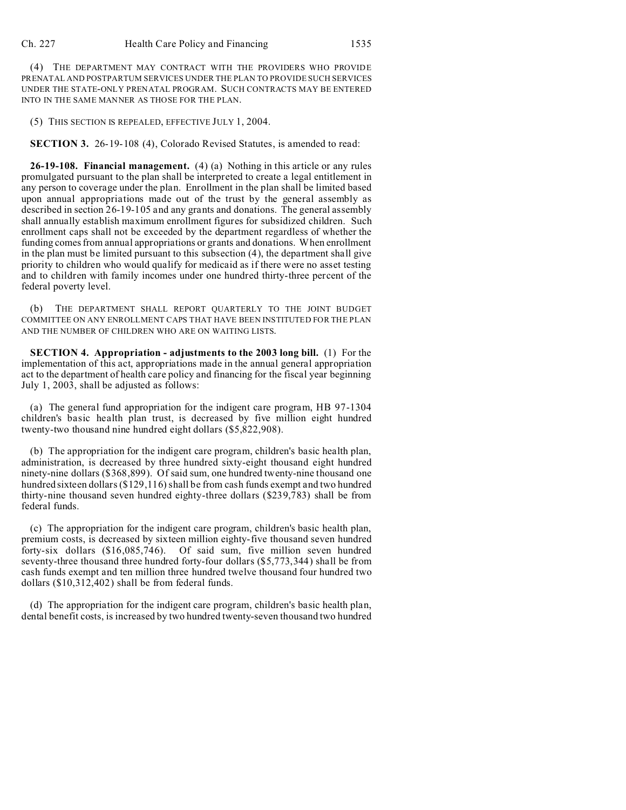(4) THE DEPARTMENT MAY CONTRACT WITH THE PROVIDERS WHO PROVIDE PRENATAL AND POSTPARTUM SERVICES UNDER THE PLAN TO PROVIDE SUCH SERVICES UNDER THE STATE-ONLY PRENATAL PROGRAM. SUCH CONTRACTS MAY BE ENTERED INTO IN THE SAME MANNER AS THOSE FOR THE PLAN.

(5) THIS SECTION IS REPEALED, EFFECTIVE JULY 1, 2004.

**SECTION 3.** 26-19-108 (4), Colorado Revised Statutes, is amended to read:

**26-19-108. Financial management.** (4) (a) Nothing in this article or any rules promulgated pursuant to the plan shall be interpreted to create a legal entitlement in any person to coverage under the plan. Enrollment in the plan shall be limited based upon annual appropriations made out of the trust by the general assembly as described in section 26-19-105 and any grants and donations. The general assembly shall annually establish maximum enrollment figures for subsidized children. Such enrollment caps shall not be exceeded by the department regardless of whether the funding comes from annual appropriations or grants and donations. When enrollment in the plan must be limited pursuant to this subsection (4), the department shall give priority to children who would qualify for medicaid as if there were no asset testing and to children with family incomes under one hundred thirty-three percent of the federal poverty level.

(b) THE DEPARTMENT SHALL REPORT QUARTERLY TO THE JOINT BUDGET COMMITTEE ON ANY ENROLLMENT CAPS THAT HAVE BEEN INSTITUTED FOR THE PLAN AND THE NUMBER OF CHILDREN WHO ARE ON WAITING LISTS.

**SECTION 4. Appropriation - adjustments to the 2003 long bill.** (1) For the implementation of this act, appropriations made in the annual general appropriation act to the department of health care policy and financing for the fiscal year beginning July 1, 2003, shall be adjusted as follows:

(a) The general fund appropriation for the indigent care program, HB 97-1304 children's basic health plan trust, is decreased by five million eight hundred twenty-two thousand nine hundred eight dollars (\$5,822,908).

(b) The appropriation for the indigent care program, children's basic health plan, administration, is decreased by three hundred sixty-eight thousand eight hundred ninety-nine dollars (\$368,899). Of said sum, one hundred twenty-nine thousand one hundred sixteen dollars (\$129,116) shall be from cash funds exempt and two hundred thirty-nine thousand seven hundred eighty-three dollars (\$239,783) shall be from federal funds.

(c) The appropriation for the indigent care program, children's basic health plan, premium costs, is decreased by sixteen million eighty-five thousand seven hundred forty-six dollars (\$16,085,746). Of said sum, five million seven hundred seventy-three thousand three hundred forty-four dollars (\$5,773,344) shall be from cash funds exempt and ten million three hundred twelve thousand four hundred two dollars (\$10,312,402) shall be from federal funds.

(d) The appropriation for the indigent care program, children's basic health plan, dental benefit costs, is increased by two hundred twenty-seven thousand two hundred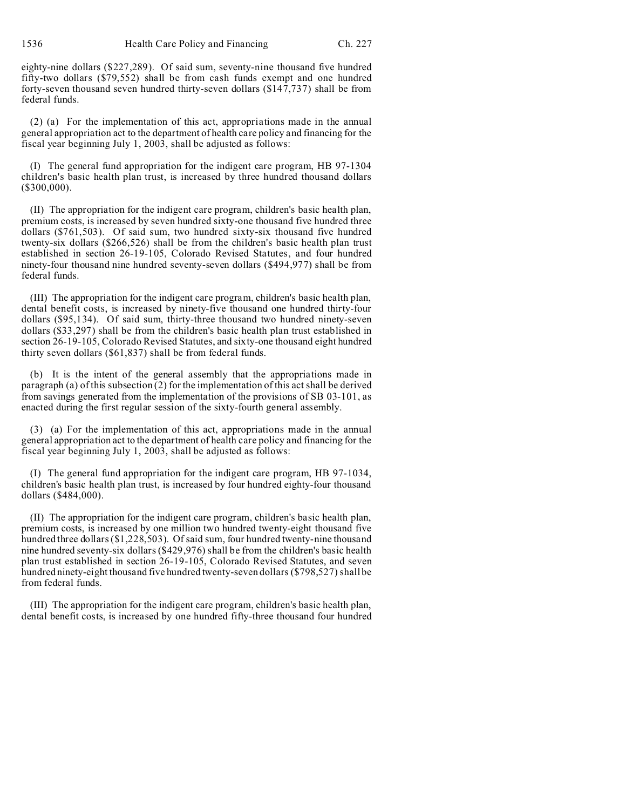1536 Health Care Policy and Financing Ch. 227

eighty-nine dollars (\$227,289). Of said sum, seventy-nine thousand five hundred fifty-two dollars (\$79,552) shall be from cash funds exempt and one hundred forty-seven thousand seven hundred thirty-seven dollars (\$147,737) shall be from federal funds.

(2) (a) For the implementation of this act, appropriations made in the annual general appropriation act to the department of health care policy and financing for the fiscal year beginning July 1, 2003, shall be adjusted as follows:

(I) The general fund appropriation for the indigent care program, HB 97-1304 children's basic health plan trust, is increased by three hundred thousand dollars (\$300,000).

(II) The appropriation for the indigent care program, children's basic health plan, premium costs, is increased by seven hundred sixty-one thousand five hundred three dollars (\$761,503). Of said sum, two hundred sixty-six thousand five hundred twenty-six dollars (\$266,526) shall be from the children's basic health plan trust established in section 26-19-105, Colorado Revised Statutes, and four hundred ninety-four thousand nine hundred seventy-seven dollars (\$494,977) shall be from federal funds.

(III) The appropriation for the indigent care program, children's basic health plan, dental benefit costs, is increased by ninety-five thousand one hundred thirty-four dollars (\$95,134). Of said sum, thirty-three thousand two hundred ninety-seven dollars (\$33,297) shall be from the children's basic health plan trust established in section 26-19-105, Colorado Revised Statutes, and sixty-one thousand eight hundred thirty seven dollars (\$61,837) shall be from federal funds.

(b) It is the intent of the general assembly that the appropriations made in paragraph (a) of this subsection (2) for the implementation of this act shall be derived from savings generated from the implementation of the provisions of SB 03-101, as enacted during the first regular session of the sixty-fourth general assembly.

(3) (a) For the implementation of this act, appropriations made in the annual general appropriation act to the department of health care policy and financing for the fiscal year beginning July 1, 2003, shall be adjusted as follows:

(I) The general fund appropriation for the indigent care program, HB 97-1034, children's basic health plan trust, is increased by four hundred eighty-four thousand dollars (\$484,000).

(II) The appropriation for the indigent care program, children's basic health plan, premium costs, is increased by one million two hundred twenty-eight thousand five hundred three dollars (\$1,228,503). Of said sum, four hundred twenty-nine thousand nine hundred seventy-six dollars (\$429,976) shall be from the children's basic health plan trust established in section 26-19-105, Colorado Revised Statutes, and seven hundred ninety-eight thousand five hundred twenty-seven dollars (\$798,527) shall be from federal funds.

(III) The appropriation for the indigent care program, children's basic health plan, dental benefit costs, is increased by one hundred fifty-three thousand four hundred